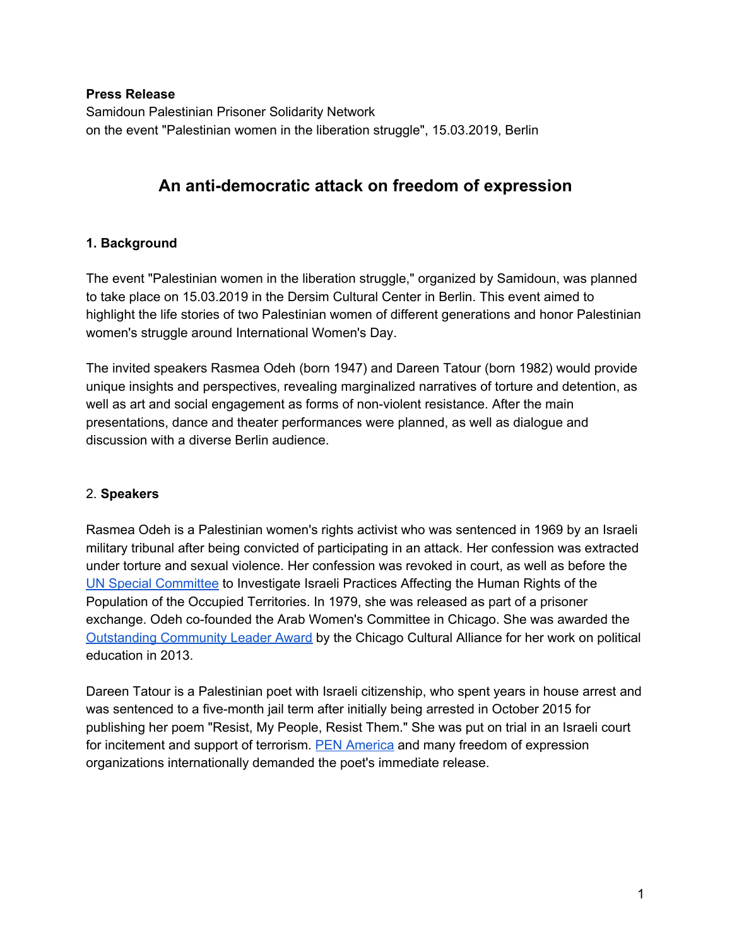#### **Press Release**

Samidoun Palestinian Prisoner Solidarity Network on the event "Palestinian women in the liberation struggle", 15.03.2019, Berlin

# **An anti-democratic attack on freedom of expression**

# **1. Background**

The event "Palestinian women in the liberation struggle," organized by Samidoun, was planned to take place on 15.03.2019 in the Dersim Cultural Center in Berlin. This event aimed to highlight the life stories of two Palestinian women of different generations and honor Palestinian women's struggle around International Women's Day.

The invited speakers Rasmea Odeh (born 1947) and Dareen Tatour (born 1982) would provide unique insights and perspectives, revealing marginalized narratives of torture and detention, as well as art and social engagement as forms of non-violent resistance. After the main presentations, dance and theater performances were planned, as well as dialogue and discussion with a diverse Berlin audience.

# 2. **Speakers**

Rasmea Odeh is a Palestinian women's rights activist who was sentenced in 1969 by an Israeli military tribunal after being convicted of participating in an attack. Her confession was extracted under torture and sexual violence. Her confession was revoked in court, as well as before the UN Special [Committee](https://unispal.un.org/UNISPAL.NSF/0/68B222A27C07C25F0525658C00691A57) to Investigate Israeli Practices Affecting the Human Rights of the Population of the Occupied Territories. In 1979, she was released as part of a prisoner exchange. Odeh co-founded the Arab Women's Committee in Chicago. She was awarded the [Outstanding](https://www.jacobinmag.com/2015/01/rasmea-odeh-verdict-organizing/) Community Leader Award by the Chicago Cultural Alliance for her work on political education in 2013.

Dareen Tatour is a Palestinian poet with Israeli citizenship, who spent years in house arrest and was sentenced to a five-month jail term after initially being arrested in October 2015 for publishing her poem "Resist, My People, Resist Them." She was put on trial in an Israeli court for incitement and support of terrorism. PEN [America](https://pen.org/advocacy-case/dareen-tatour/) and many freedom of expression organizations internationally demanded the poet's immediate release.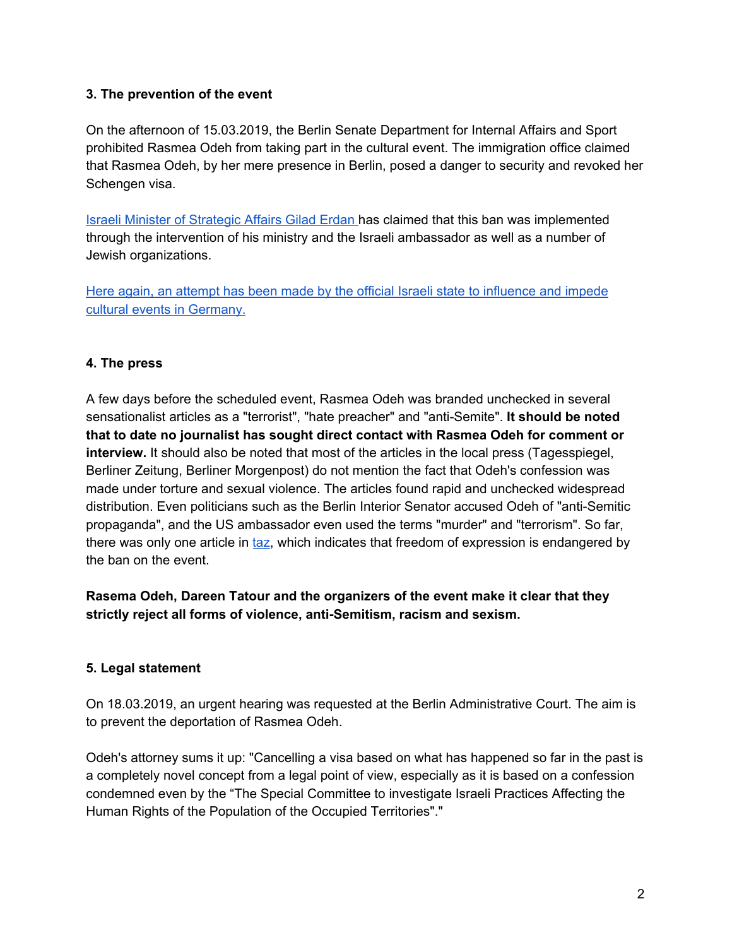# **3. The prevention of the event**

On the afternoon of 15.03.2019, the Berlin Senate Department for Internal Affairs and Sport prohibited Rasmea Odeh from taking part in the cultural event. The immigration office claimed that Rasmea Odeh, by her mere presence in Berlin, posed a danger to security and revoked her Schengen visa.

Israeli Minister of [Strategic](https://www.haaretz.com/israel-news/.premium-germany-deports-palestinian-terrorist-cancels-bds-event-at-israel-s-request-1.7023689?utm_source=Push_Notification&utm_medium=web_push&utm_campaign=General&fbclid=IwAR2zcZxZisHyLQZNVhSvWSmTPnS4CH29fz5rhSvLsJgs7Qw5R4RZdz2rxRs) Affairs Gilad Erdan has claimed that this ban was implemented through the intervention of his ministry and the Israeli ambassador as well as a number of Jewish organizations.

Here again, an attempt has been made by the official Israeli state to [influence](http://www.taz.de/!5553564/) and impede cultural events in [Germany.](http://www.taz.de/!5553564/)

### **4. The press**

A few days before the scheduled event, Rasmea Odeh was branded unchecked in several sensationalist articles as a "terrorist", "hate preacher" and "anti-Semite". **It should be noted that to date no journalist has sought direct contact with Rasmea Odeh for comment or interview.** It should also be noted that most of the articles in the local press (Tagesspiegel, Berliner Zeitung, Berliner Morgenpost) do not mention the fact that Odeh's confession was made under torture and sexual violence. The articles found rapid and unchecked widespread distribution. Even politicians such as the Berlin Interior Senator accused Odeh of "anti-Semitic propaganda", and the US ambassador even used the terms "murder" and "terrorism". So far, there was only one article in [taz,](https://www.taz.de/Archiv-Suche/!5575638&s=Hagmann&SuchRahmen=Print/) which indicates that freedom of expression is endangered by the ban on the event.

**Rasema Odeh, Dareen Tatour and the organizers of the event make it clear that they strictly reject all forms of violence, anti-Semitism, racism and sexism.**

# **5. Legal statement**

On 18.03.2019, an urgent hearing was requested at the Berlin Administrative Court. The aim is to prevent the deportation of Rasmea Odeh.

Odeh's attorney sums it up: "Cancelling a visa based on what has happened so far in the past is a completely novel concept from a legal point of view, especially as it is based on a confession condemned even by the "The Special Committee to investigate Israeli Practices Affecting the Human Rights of the Population of the Occupied Territories"."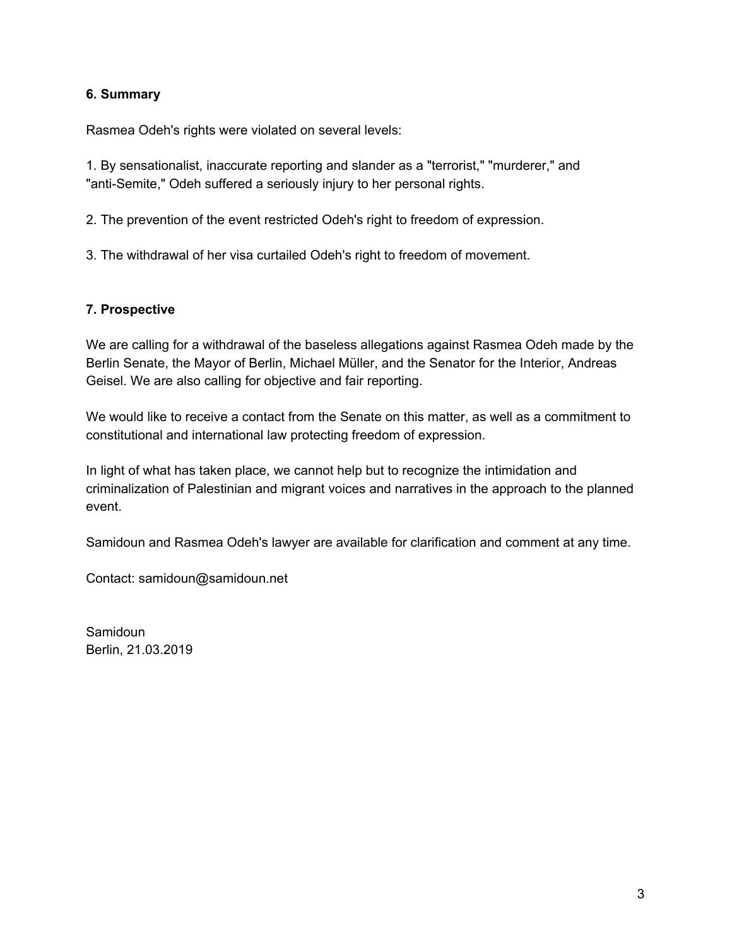### **6. Summary**

Rasmea Odeh's rights were violated on several levels:

1. By sensationalist, inaccurate reporting and slander as a "terrorist," "murderer," and "anti-Semite," Odeh suffered a seriously injury to her personal rights.

2. The prevention of the event restricted Odeh's right to freedom of expression.

3. The withdrawal of her visa curtailed Odeh's right to freedom of movement.

# **7. Prospective**

We are calling for a withdrawal of the baseless allegations against Rasmea Odeh made by the Berlin Senate, the Mayor of Berlin, Michael Müller, and the Senator for the Interior, Andreas Geisel. We are also calling for objective and fair reporting.

We would like to receive a contact from the Senate on this matter, as well as a commitment to constitutional and international law protecting freedom of expression.

In light of what has taken place, we cannot help but to recognize the intimidation and criminalization of Palestinian and migrant voices and narratives in the approach to the planned event.

Samidoun and Rasmea Odeh's lawyer are available for clarification and comment at any time.

Contact: samidoun@samidoun.net

Samidoun Berlin, 21.03.2019